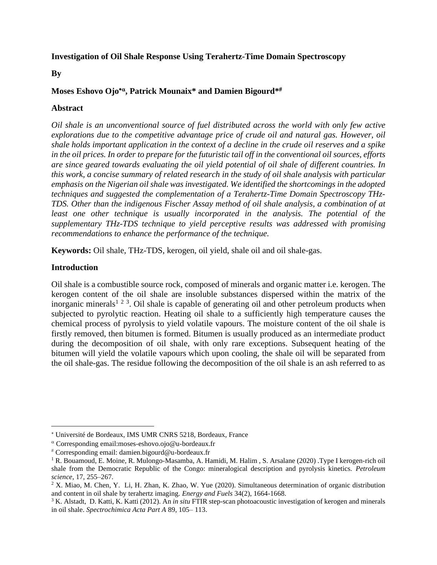# **Investigation of Oil Shale Response Using Terahertz-Time Domain Spectroscopy**

#### **By**

# **Moses Eshovo Ojo , Patrick Mounaix\* and Damien Bigourd\***

# **Abstract**

*Oil shale is an unconventional source of fuel distributed across the world with only few active explorations due to the competitive advantage price of crude oil and natural gas. However, oil shale holds important application in the context of a decline in the crude oil reserves and a spike in the oil prices. In order to prepare for the futuristic tail off in the conventional oil sources, efforts are since geared towards evaluating the oil yield potential of oil shale of different countries. In this work, a concise summary of related research in the study of oil shale analysis with particular emphasis on the Nigerian oil shale was investigated. We identified the shortcomings in the adopted techniques and suggested the complementation of a Terahertz-Time Domain Spectroscopy THz-TDS. Other than the indigenous Fischer Assay method of oil shale analysis, a combination of at least one other technique is usually incorporated in the analysis. The potential of the supplementary THz-TDS technique to yield perceptive results was addressed with promising recommendations to enhance the performance of the technique.*

**Keywords:** Oil shale, THz-TDS, kerogen, oil yield, shale oil and oil shale-gas.

#### **Introduction**

Oil shale is a combustible source rock, composed of minerals and organic matter i.e. kerogen. The kerogen content of the oil shale are insoluble substances dispersed within the matrix of the inorganic minerals<sup>1 2 3</sup>. Oil shale is capable of generating oil and other petroleum products when subjected to pyrolytic reaction. Heating oil shale to a sufficiently high temperature causes the chemical process of pyrolysis to yield volatile vapours. The moisture content of the oil shale is firstly removed, then bitumen is formed. Bitumen is usually produced as an intermediate product during the decomposition of oil shale, with only rare exceptions. Subsequent heating of the bitumen will yield the volatile vapours which upon cooling, the shale oil will be separated from the oil shale-gas. The residue following the decomposition of the oil shale is an ash referred to as

Université de Bordeaux, IMS UMR CNRS 5218, Bordeaux, France

Corresponding email:moses-eshovo.ojo@u-bordeaux.fr

Corresponding email: damien.bigourd@u-bordeaux.fr

<sup>1</sup> R. Bouamoud, E. Moine, R. Mulongo-Masamba, A. Hamidi, M. Halim , S. Arsalane (2020) .Type I kerogen-rich oil shale from the Democratic Republic of the Congo: mineralogical description and pyrolysis kinetics. *Petroleum science*, 17, 255–267.

<sup>&</sup>lt;sup>2</sup> X. Miao, M. Chen, Y. Li, H. Zhan, K. Zhao, W. Yue (2020). Simultaneous determination of organic distribution and content in oil shale by terahertz imaging. *Energy and Fuels* 34(2), 1664-1668.

<sup>&</sup>lt;sup>3</sup> K. Alstadt, D. Katti, K. Katti (2012). An *in situ* FTIR step-scan photoacoustic investigation of kerogen and minerals in oil shale. *Spectrochimica Acta Part A* 89, 105– 113.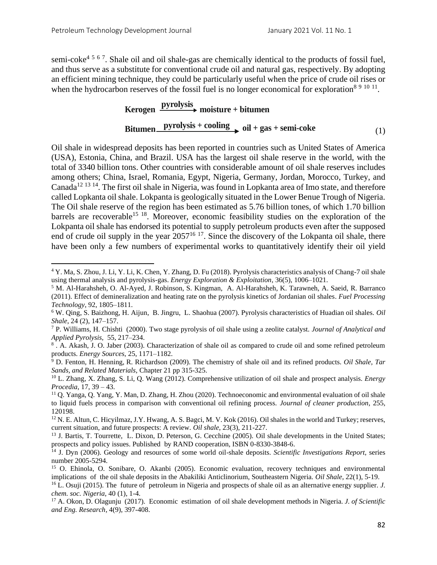semi-coke<sup>4 5 6 7</sup>. Shale oil and oil shale-gas are chemically identical to the products of fossil fuel, and thus serve as a substitute for conventional crude oil and natural gas, respectively. By adopting an efficient mining technique, they could be particularly useful when the price of crude oil rises or when the hydrocarbon reserves of the fossil fuel is no longer economical for exploration<sup>8 9 10 11</sup>.

# **Kerogen pyrolysis** moisture + bitumen **Bitumen pyrolysis + cooling oil + gas + semi-coke** (1)

Oil shale in widespread deposits has been reported in countries such as United States of America (USA), Estonia, China, and Brazil. USA has the largest oil shale reserve in the world, with the total of 3340 billion tons. Other countries with considerable amount of oil shale reserves includes among others; China, Israel, Romania, Egypt, Nigeria, Germany, Jordan, Morocco, Turkey, and Canada<sup>12 13 14</sup>. The first oil shale in Nigeria, was found in Lopkanta area of Imo state, and therefore called Lopkanta oil shale. Lokpanta is geologically situated in the Lower Benue Trough of Nigeria. The Oil shale reserve of the region has been estimated as 5.76 billion tones, of which 1.70 billion barrels are recoverable<sup>15 18</sup>. Moreover, economic feasibility studies on the exploration of the Lokpanta oil shale has endorsed its potential to supply petroleum products even after the supposed end of crude oil supply in the year  $2057^{16}$  <sup>17</sup>. Since the discovery of the Lokpanta oil shale, there have been only a few numbers of experimental works to quantitatively identify their oil yield

<sup>4</sup> [Y. Ma,](https://journals.sagepub.com/action/doSearch?target=default&ContribAuthorStored=Ma%2C+Yu) [S. Zhou,](https://journals.sagepub.com/action/doSearch?target=default&ContribAuthorStored=Zhou%2C+Shixin) [J. Li,](https://journals.sagepub.com/action/doSearch?target=default&ContribAuthorStored=Li%2C+Jing) [Y. Li,](https://journals.sagepub.com/action/doSearch?target=default&ContribAuthorStored=Li%2C+Yuanju) [K. Chen,](https://journals.sagepub.com/action/doSearch?target=default&ContribAuthorStored=Chen%2C+Kefei) [Y. Zhang,](https://journals.sagepub.com/action/doSearch?target=default&ContribAuthorStored=Zhang%2C+Yuhong) [D. Fu](https://journals.sagepub.com/action/doSearch?target=default&ContribAuthorStored=Fu%2C+Deliang) (2018). Pyrolysis characteristics analysis of Chang-7 oil shale using thermal analysis and pyrolysis-gas. *Energy Exploration & Exploitation*, 36(5), 1006–1021.

<sup>5</sup> M. Al-Harahsheh, O. Al-Ayed, J. Robinson, S. Kingman, A. Al-Harahsheh, K. Tarawneh, A. Saeid, R. Barranco (2011). Effect of demineralization and heating rate on the pyrolysis kinetics of Jordanian oil shales. *Fuel Processing Technology*, 92, 1805–1811.

<sup>6</sup> W. Qing, S. Baizhong, H. Aijun, B. Jingru, L. Shaohua (2007). Pyrolysis characteristics of Huadian oil shales. *Oil Shale*, 24 (2), 147–157.

<sup>7</sup> [P. Williams,](https://www.sciencedirect.com/science/article/abs/pii/S0165237000000711#!) H. Chishti (2000). Two stage pyrolysis of oil shale using a zeolite catalyst. *Journal of Analytical and Applied Pyrolysis*, 55, 217–234.

<sup>&</sup>lt;sup>8</sup>. A. Akash, J. O. Jaber (2003). Characterization of shale oil as compared to crude oil and some refined petroleum products. *Energy Sources*, 25, 1171–1182.

<sup>9</sup> D. Fenton, H. Henning, R. Richardson (2009). The chemistry of shale oil and its refined products. *[Oil Shale, Tar](https://pubs.acs.org/doi/10.1021/bk-1981-0163)  [Sands, and Related Materials](https://pubs.acs.org/doi/10.1021/bk-1981-0163)*, Chapter 21 pp 315-325.

<sup>10</sup> [L. Zhang, X. Zhang, S. Li, Q. Wang](https://www.sciencedirect.com/science/article/pii/S1876610212003955#!) (2012). Comprehensive utilization of oil shale and prospect analysis. *Energy Procedia*, 17, 39 – 43.

<sup>11</sup> Q. Yanga, Q. Yang, Y. Man, D. Zhang, H. Zhou (2020). Technoeconomic and environmental evaluation of oil shale to liquid fuels process in comparison with conventional oil refining process. *Journal of cleaner production*, 255, 120198.

<sup>&</sup>lt;sup>12</sup> N. E. Altun, C. Hicyilmaz, J.Y. Hwang, A. S. Bagci, M. V. Kok (2016). Oil shales in the world and Turkey; reserves, current situation, and future prospects: A review. *Oil shale*, 23(3), 211-227.

<sup>&</sup>lt;sup>13</sup> J. Bartis, T. Tourrette, L. Dixon, D. Peterson, G. Cecchine (2005). Oil shale developments in the United States; prospects and policy issues. Published by RAND cooperation, ISBN 0-8330-3848-6.

<sup>14</sup> J. Dyn (2006). Geology and resources of some world oil-shale deposits. *Scientific Investigations Report*, series number 2005-5294.

<sup>15</sup> O. Ehinola, O. Sonibare, O. Akanbi (2005). Economic evaluation, recovery techniques and environmental implications of the oil shale deposits in the Abakiliki Anticlinorium, Southeastern Nigeria. *Oil Shale*, 22(1), 5-19.

<sup>16</sup> L. Osuji (2015). The future of petroleum in Nigeria and prospects of shale oil as an alternative energy supplier. *J. chem. soc. Nigeria*, 40 (1), 1-4.

<sup>17</sup> A. Okon, D. Olagunju (2017). Economic estimation of oil shale development methods in Nigeria. *J. of Scientific and Eng. Research*, 4(9), 397-408.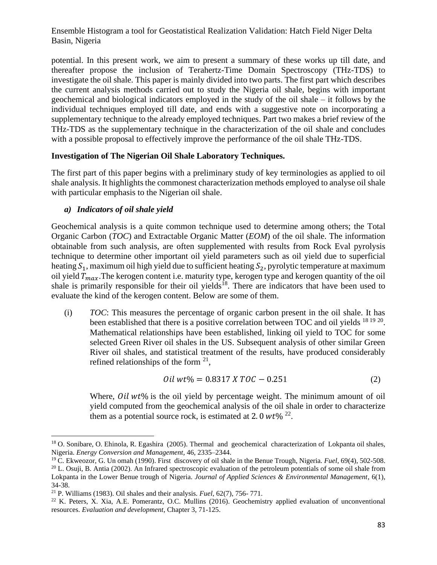potential. In this present work, we aim to present a summary of these works up till date, and thereafter propose the inclusion of Terahertz-Time Domain Spectroscopy (THz-TDS) to investigate the oil shale. This paper is mainly divided into two parts. The first part which describes the current analysis methods carried out to study the Nigeria oil shale, begins with important geochemical and biological indicators employed in the study of the oil shale – it follows by the individual techniques employed till date, and ends with a suggestive note on incorporating a supplementary technique to the already employed techniques. Part two makes a brief review of the THz-TDS as the supplementary technique in the characterization of the oil shale and concludes with a possible proposal to effectively improve the performance of the oil shale THz-TDS.

# **Investigation of The Nigerian Oil Shale Laboratory Techniques.**

The first part of this paper begins with a preliminary study of key terminologies as applied to oil shale analysis. It highlights the commonest characterization methods employed to analyse oil shale with particular emphasis to the Nigerian oil shale.

# *a) Indicators of oil shale yield*

Geochemical analysis is a quite common technique used to determine among others; the Total Organic Carbon (*TOC*) and Extractable Organic Matter (*EOM*) of the oil shale. The information obtainable from such analysis, are often supplemented with results from Rock Eval pyrolysis technique to determine other important oil yield parameters such as oil yield due to superficial heating  $S_1$ , maximum oil high yield due to sufficient heating  $S_2$ , pyrolytic temperature at maximum oil yield  $T_{max}$ . The kerogen content i.e. maturity type, kerogen type and kerogen quantity of the oil shale is primarily responsible for their oil yields<sup>18</sup>. There are indicators that have been used to evaluate the kind of the kerogen content. Below are some of them.

(i) *TOC*: This measures the percentage of organic carbon present in the oil shale. It has been established that there is a positive correlation between TOC and oil yields  $^{18}$   $^{19}$   $^{20}$ . Mathematical relationships have been established, linking oil yield to TOC for some selected Green River oil shales in the US. Subsequent analysis of other similar Green River oil shales, and statistical treatment of the results, have produced considerably refined relationships of the form  $21$ ,

$$
Oil wt\% = 0.8317 \, X \, TOC - 0.251 \tag{2}
$$

Where,  $\frac{\partial i}{\partial x}$  we is the oil yield by percentage weight. The minimum amount of oil yield computed from the geochemical analysis of the oil shale in order to characterize them as a potential source rock, is estimated at 2.0  $wt\%$  <sup>22</sup>.

<sup>&</sup>lt;sup>18</sup> O. Sonibare, O. Ehinola, R. Egashira (2005). Thermal and geochemical characterization of Lokpanta oil shales, Nigeria. *Energy Conversion and Management*, 46, 2335–2344.

<sup>19</sup> C. Ekweozor, G. Un omah (1990). First discovery of oil shale in the Benue Trough, Nigeria. *Fuel*, 69(4), 502-508. <sup>20</sup> L. [Osuji,](https://tspace.library.utoronto.ca/browse?type=author&value=L.C.+Osuji) B. [Antia](https://tspace.library.utoronto.ca/browse?type=author&value=B.S.+Antia) (2002). An Infrared spectroscopic evaluation of the petroleum potentials of some oil shale from Lokpanta in the Lower Benue trough of Nigeria. *Journal of Applied Sciences & Environmental Management*, 6(1), 34-38.

<sup>21</sup> P. Williams (1983). Oil shales and their analysis. *Fuel*, 62(7), 756- 771.

<sup>22</sup> K. Peters, X. Xia, A.E. Pomerantz, O.C. Mullins (2016). Geochemistry applied evaluation of unconventional resources. *Evaluation and development*, Chapter 3, 71-125.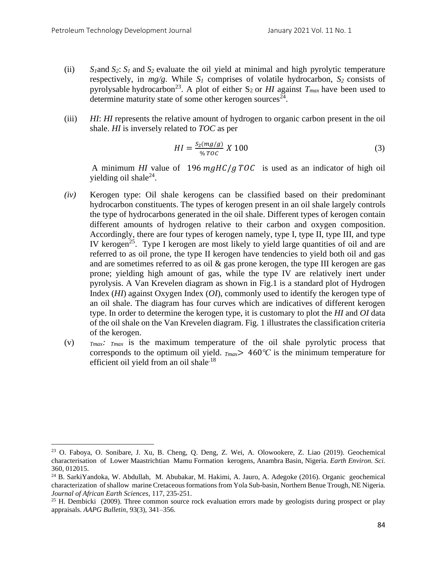- (ii)  $S_1$ and  $S_2$ :  $S_1$  and  $S_2$  evaluate the oil yield at minimal and high pyrolytic temperature respectively, in  $mg/g$ . While  $S_I$  comprises of volatile hydrocarbon,  $S_2$  consists of pyrolysable hydrocarbon<sup>23</sup>. A plot of either  $S_2$  or *HI* against  $T_{max}$  have been used to determine maturity state of some other kerogen sources<sup>24</sup>.
- (iii) *HI*: *HI* represents the relative amount of hydrogen to organic carbon present in the oil shale. *HI* is inversely related to *TOC* as per

$$
HI = \frac{S_2(mg/g)}{96 \text{ TOC}} \times 100 \tag{3}
$$

A minimum *HI* value of  $196 \frac{mg}{H}$  /  $gTOC$  is used as an indicator of high oil yielding oil shale<sup>24</sup>.

- *(iv)* Kerogen type: Oil shale kerogens can be classified based on their predominant hydrocarbon constituents. The types of kerogen present in an oil shale largely controls the type of hydrocarbons generated in the oil shale. Different types of kerogen contain different amounts of hydrogen relative to their carbon and oxygen composition. Accordingly, there are four types of kerogen namely, type I, type II, type III, and type IV kerogen<sup>25</sup>. Type I kerogen are most likely to yield large quantities of oil and are referred to as oil prone, the type II kerogen have tendencies to yield both oil and gas and are sometimes referred to as oil & gas prone kerogen, the type III kerogen are gas prone; yielding high amount of gas, while the type IV are relatively inert under pyrolysis. A Van Krevelen diagram as shown in Fig.1 is a standard plot of Hydrogen Index (*HI*) against Oxygen Index (*OI*), commonly used to identify the kerogen type of an oil shale. The diagram has four curves which are indicatives of different kerogen type. In order to determine the kerogen type, it is customary to plot the *HI* and *OI* data of the oil shale on the Van Krevelen diagram. Fig. 1 illustrates the classification criteria of the kerogen.
- (v) *Tmax: Tmax* is the maximum temperature of the oil shale pyrolytic process that corresponds to the optimum oil yield.  $_{Tmax}$  > 460°C is the minimum temperature for efficient oil yield from an oil shale $18$

<sup>23</sup> O. Faboya, O. Sonibare, J. Xu, B. Cheng, Q. Deng, Z. Wei, A. Olowookere, Z. Liao (2019). Geochemical characterisation of Lower Maastrichtian Mamu Formation kerogens, Anambra Basin, Nigeria. *Earth Environ. Sci.* 360, 012015.

<sup>24</sup> B. SarkiYandoka, W. Abdullah, M. Abubakar, M. Hakimi, A. Jauro, A. Adegoke (2016). Organic geochemical characterization of shallow marine Cretaceous formations from Yola Sub-basin, Northern Benue Trough, NE Nigeria. *Journal of African Earth Sciences*, 117, 235-251.

<sup>&</sup>lt;sup>25</sup> H. Dembicki (2009). Three common source rock evaluation errors made by geologists during prospect or play appraisals. *AAPG Bulletin*, 93(3), 341–356.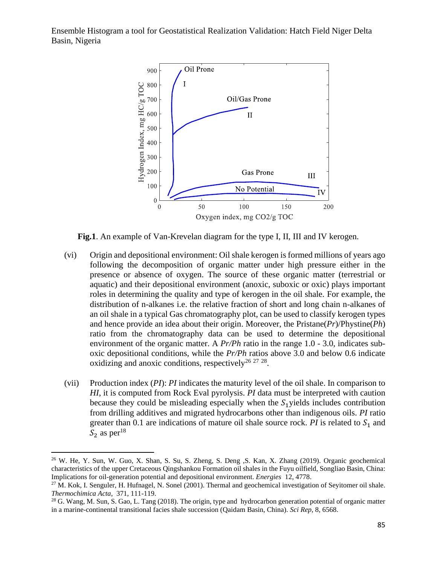

**Fig.1**. An example of Van-Krevelan diagram for the type I, II, III and IV kerogen.

- (vi) Origin and depositional environment: Oil shale kerogen is formed millions of years ago following the decomposition of organic matter under high pressure either in the presence or absence of oxygen. The source of these organic matter (terrestrial or aquatic) and their depositional environment (anoxic, suboxic or oxic) plays important roles in determining the quality and type of kerogen in the oil shale. For example, the distribution of n-alkanes i.e. the relative fraction of short and long chain n-alkanes of an oil shale in a typical Gas chromatography plot, can be used to classify kerogen types and hence provide an idea about their origin. Moreover, the Pristane(*Pr*)/Phystine(*Ph*) ratio from the chromatography data can be used to determine the depositional environment of the organic matter. A *Pr/Ph* ratio in the range 1.0 - 3.0, indicates suboxic depositional conditions, while the *Pr/Ph* ratios above 3.0 and below 0.6 indicate oxidizing and anoxic conditions, respectively<sup>26 27</sup> <sup>28</sup>.
- (vii) Production index (*PI*): *PI* indicates the maturity level of the oil shale. In comparison to *HI*, it is computed from Rock Eval pyrolysis. *PI* data must be interpreted with caution because they could be misleading especially when the  $S<sub>1</sub>$  yields includes contribution from drilling additives and migrated hydrocarbons other than indigenous oils. *PI* ratio greater than 0.1 are indications of mature oil shale source rock.  $PI$  is related to  $S_1$  and  $S_2$  as per<sup>18</sup>

<sup>&</sup>lt;sup>26</sup> W. He, Y. Sun, W. Guo, X. Shan, S. Su, S. Zheng, S. Deng, S. Kan, X. Zhang (2019). Organic geochemical characteristics of the upper Cretaceous Qingshankou Formation oil shales in the Fuyu oilfield, Songliao Basin, China: Implications for oil-generation potential and depositional environment. *Energies* 12, 4778.

 $^{27}$  M. Kok, I. Senguler, H. Hufnagel, N. Sonel (2001). Thermal and geochemical investigation of Seyitomer oil shale. *Thermochimica Acta*, 371, 111-119.

<sup>&</sup>lt;sup>28</sup> G. Wang, M. Sun, S. Gao, L. Tang (2018). The origin, type and hydrocarbon generation potential of organic matter in a marine-continental transitional facies shale succession (Qaidam Basin, China). *Sci Rep*, 8, 6568.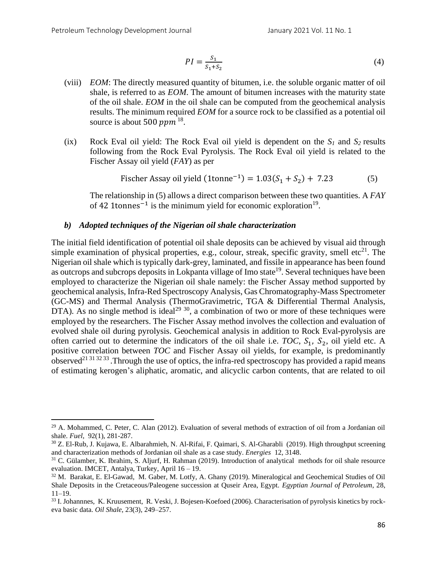$$
PI = \frac{S_1}{S_1 + S_2} \tag{4}
$$

- (viii) *EOM*: The directly measured quantity of bitumen, i.e. the soluble organic matter of oil shale, is referred to as *EOM*. The amount of bitumen increases with the maturity state of the oil shale. *EOM* in the oil shale can be computed from the geochemical analysis results. The minimum required *EOM* for a source rock to be classified as a potential oil source is about 500  $ppm$  <sup>18</sup>.
- (ix) Rock Eval oil yield: The Rock Eval oil yield is dependent on the  $S_1$  and  $S_2$  results following from the Rock Eval Pyrolysis. The Rock Eval oil yield is related to the Fischer Assay oil yield (*FAY*) as per

Fischer Assay oil yield 
$$
(1tonne^{-1}) = 1.03(S_1 + S_2) + 7.23
$$
 (5)

The relationship in (5) allows a direct comparison between these two quantities. A *FAY* of 42 1tonnes<sup>-1</sup> is the minimum yield for economic exploration<sup>19</sup>.

#### *b) Adopted techniques of the Nigerian oil shale characterization*

The initial field identification of potential oil shale deposits can be achieved by visual aid through simple examination of physical properties, e.g., colour, streak, specific gravity, smell etc<sup>21</sup>. The Nigerian oil shale which is typically dark-grey, laminated, and fissile in appearance has been found as outcrops and subcrops deposits in Lokpanta village of Imo state<sup>19</sup>. Several techniques have been employed to characterize the Nigerian oil shale namely: the Fischer Assay method supported by geochemical analysis, Infra-Red Spectroscopy Analysis, Gas Chromatography-Mass Spectrometer (GC-MS) and Thermal Analysis (ThermoGravimetric, TGA & Differential Thermal Analysis, DTA). As no single method is ideal<sup>29 30</sup>, a combination of two or more of these techniques were employed by the researchers. The Fischer Assay method involves the collection and evaluation of evolved shale oil during pyrolysis. Geochemical analysis in addition to Rock Eval-pyrolysis are often carried out to determine the indicators of the oil shale i.e. *TOC*,  $S_1$ ,  $S_2$ , oil yield etc. A positive correlation between *TOC* and Fischer Assay oil yields, for example, is predominantly observed<sup>21 31 32 33</sup>. Through the use of optics, the infra-red spectroscopy has provided a rapid means of estimating kerogen's aliphatic, aromatic, and alicyclic carbon contents, that are related to oil

<sup>&</sup>lt;sup>29</sup> A. Mohammed, C. Peter, C. Alan (2012). Evaluation of several methods of extraction of oil from a Jordanian oil shale. *Fuel*, 92(1), 281-287.

<sup>30</sup> Z. El-Rub, J. Kujawa, E. Albarahmieh, N. Al-Rifai, F. Qaimari, S. Al-Gharabli (2019). High throughput screening and characterization methods of Jordanian oil shale as a case study. *Energies* 12, 3148.

<sup>&</sup>lt;sup>31</sup> C. Gülamber, K. Ibrahim, S. Aljurf, H. Rahman (2019). Introduction of analytical methods for oil shale resource evaluation. IMCET, Antalya, Turkey, April 16 – 19.

<sup>32</sup> M. Barakat, E. El-Gawad, M. Gaber, M. Lotfy, A. Ghany (2019). Mineralogical and Geochemical Studies of Oil Shale Deposits in the Cretaceous/Paleogene succession at Quseir Area, Egypt. *Egyptian Journal of Petroleum*, 28, 11–19.

<sup>33</sup> I. Johannnes, K. Kruusement, R. Veski, J. Bojesen-Koefoed (2006). Characterisation of pyrolysis kinetics by rockeva basic data. *Oil Shale*, 23(3), 249–257.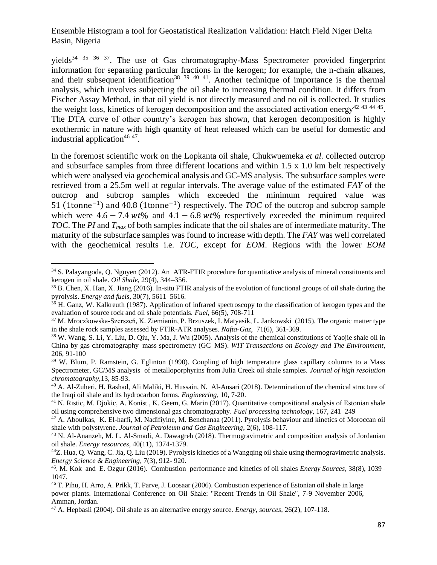yields<sup>34 35 36 37</sup>. The use of Gas chromatography-Mass Spectrometer provided fingerprint information for separating particular fractions in the kerogen; for example, the n-chain alkanes, and their subsequent identification<sup>38</sup>  $39 \frac{40}{41}$ . Another technique of importance is the thermal analysis, which involves subjecting the oil shale to increasing thermal condition. It differs from Fischer Assay Method, in that oil yield is not directly measured and no oil is collected. It studies the weight loss, kinetics of kerogen decomposition and the associated activation energy<sup>42 43 44 45</sup>. The DTA curve of other country's kerogen has shown, that kerogen decomposition is highly exothermic in nature with high quantity of heat released which can be useful for domestic and industrial application<sup>46 47</sup>.

In the foremost scientific work on the Lopkanta oil shale, Chukwuemeka *et al.* collected outcrop and subsurface samples from three different locations and within 1.5 x 1.0 km belt respectively which were analysed via geochemical analysis and GC-MS analysis. The subsurface samples were retrieved from a 25.5m well at regular intervals. The average value of the estimated *FAY* of the outcrop and subcrop samples which exceeded the minimum required value was 51 (1tonne<sup>-1</sup>) and 40.8 (1tonne<sup>-1</sup>) respectively. The *TOC* of the outcrop and subcrop sample which were  $4.6 - 7.4 wt\%$  and  $4.1 - 6.8 wt\%$  respectively exceeded the minimum required *TOC*. The *PI* and *Tmax* of both samples indicate that the oil shales are of intermediate maturity. The maturity of the subsurface samples was found to increase with depth. The *FAY* was well correlated with the geochemical results i.e. *TOC*, except for *EOM*. Regions with the lower *EOM*

<sup>&</sup>lt;sup>34</sup> S. Palayangoda, Q. Nguyen (2012). An ATR-FTIR procedure for quantitative analysis of mineral constituents and kerogen in oil shale. *Oil Shale*, 29(4), 344–356.

<sup>&</sup>lt;sup>35</sup> B. Chen, X. Han, X. Jiang (2016). In-situ FTIR analysis of the evolution of functional groups of oil shale during the pyrolysis. *Energy and fuels*, 30(7), 5611–5616.

 $36$  H. Ganz, W. Kalkreuth (1987). Application of infrared spectroscopy to the classification of kerogen types and the evaluation of source rock and oil shale potentials. *Fuel*, 66(5), 708-711

<sup>37</sup> M. Mroczkowska-Szerszeń, K. Ziemianin, P. Brzuszek, I. Matyasik, L. Jankowski (2015). The organic matter type in the shale rock samples assessed by FTIR-ATR analyses. *Nafta-Gaz*, 71(6), 361-369.

<sup>38</sup> W. Wang, S. Li, Y. Liu, D. Qiu, Y. Ma, J. Wu (2005). Analysis of the chemical constitutions of Yaojie shale oil in China by gas chromatography–mass spectrometry (GC–MS). *WIT Transactions on Ecology and The Environment*, 206, 91-100

<sup>39</sup> W. Blum, P. Ramstein, G. Eglinton (1990). Coupling of high temperature glass capillary columns to a Mass Spectrometer, GC/MS analysis of metalloporphyrins from Julia Creek oil shale samples. *Journal of high resolution chromatography*,13, 85-93.

<sup>40</sup> A. Al-Zuheri, H. Rashad, Ali Maliki, H. Hussain, N. Al-Ansari (2018). Determination of the chemical structure of the Iraqi oil shale and its hydrocarbon forms. *Engineering*, 10, 7-20.

<sup>&</sup>lt;sup>41</sup> N. Ristic, M. Djokic, A. Konist, K. Geem, G. Marin (2017). Quantitative compositional analysis of Estonian shale oil using comprehensive two dimensional gas chromatography. *Fuel processing technology*, 167, 241–249

<sup>42</sup> A. Aboulkas, K. El-harfi, M. Nadifiyine, M. Benchanaa (2011). Pyrolysis behaviour and kinetics of Moroccan oil shale with polystyrene. *Journal of Petroleum and Gas Engineering*, 2(6), 108-117.

<sup>43</sup> N. Al-Ananzeh, M. L. Al-Smadi, A. Dawagreh (2018). Thermogravimetric and composition analysis of Jordanian oil shale. *Energy resources*, 40(11), 1374-1379.

<sup>44</sup>Z. Hua, Q. Wang, C. Jia, Q. Liu (2019). Pyrolysis kinetics of a Wangqing oil shale using thermogravimetric analysis. *Energy Science & Engineering*, 7(3), 912- 920.

<sup>45</sup> . M. Kok and E. Ozgur (2016). Combustion performance and kinetics of oil shales *Energy Sources*, 38(8), 1039– 1047.

<sup>46</sup> T. Pihu, H. Arro, A. Prikk, T. Parve, J. Loosaar (2006). Combustion experience of Estonian oil shale in large power plants. International Conference on Oil Shale: "Recent Trends in Oil Shale", 7-9 November 2006, Amman, Jordan.

<sup>47</sup> A. Hepbasli (2004). Oil shale as an alternative energy source. *Energy, sources*, 26(2), 107-118.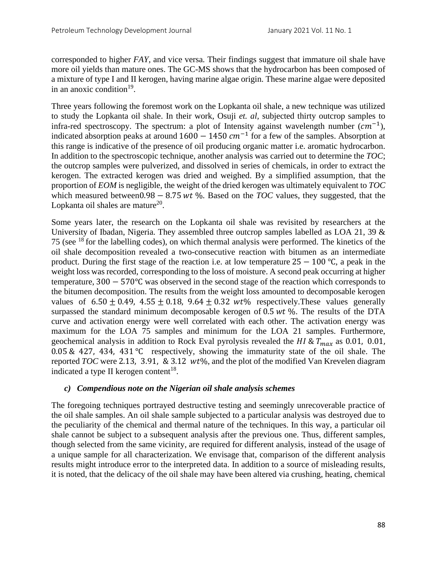corresponded to higher *FAY*, and vice versa. Their findings suggest that immature oil shale have more oil yields than mature ones. The GC-MS shows that the hydrocarbon has been composed of a mixture of type I and II kerogen, having marine algae origin. These marine algae were deposited in an anoxic condition<sup>19</sup>.

Three years following the foremost work on the Lopkanta oil shale, a new technique was utilized to study the Lopkanta oil shale. In their work, Osuji *et. al,* subjected thirty outcrop samples to infra-red spectroscopy. The spectrum: a plot of Intensity against wavelength number  $(cm^{-1})$ , indicated absorption peaks at around  $1600 - 1450$   $cm^{-1}$  for a few of the samples. Absorption at this range is indicative of the presence of oil producing organic matter i.e. aromatic hydrocarbon. In addition to the spectroscopic technique, another analysis was carried out to determine the *TOC*; the outcrop samples were pulverized, and dissolved in series of chemicals, in order to extract the kerogen. The extracted kerogen was dried and weighed. By a simplified assumption, that the proportion of *EOM* is negligible, the weight of the dried kerogen was ultimately equivalent to *TOC* which measured between0.98  $-$  8.75 *wt* %. Based on the *TOC* values, they suggested, that the Lopkanta oil shales are mature $^{20}$ .

Some years later, the research on the Lopkanta oil shale was revisited by researchers at the University of Ibadan, Nigeria. They assembled three outcrop samples labelled as LOA 21, 39 & 75 (see <sup>18</sup> for the labelling codes), on which thermal analysis were performed. The kinetics of the oil shale decomposition revealed a two-consecutive reaction with bitumen as an intermediate product. During the first stage of the reaction i.e. at low temperature  $25 - 100$  °C, a peak in the weight loss was recorded, corresponding to the loss of moisture. A second peak occurring at higher temperature, 300 − 570℃ was observed in the second stage of the reaction which corresponds to the bitumen decomposition. The results from the weight loss amounted to decomposable kerogen values of  $6.50 \pm 0.49$ ,  $4.55 \pm 0.18$ ,  $9.64 \pm 0.32$  wt% respectively. These values generally surpassed the standard minimum decomposable kerogen of  $0.5 wt\%$ . The results of the DTA curve and activation energy were well correlated with each other. The activation energy was maximum for the LOA 75 samples and minimum for the LOA 21 samples. Furthermore, geochemical analysis in addition to Rock Eval pyrolysis revealed the *HI &*  $T_{max}$  as 0.01, 0.01, 0.05 & 427, 434, 431 ℃ respectively, showing the immaturity state of the oil shale. The reported *TOC* were 2.13, 3.91, & 3.12  $wt\%$ , and the plot of the modified Van Krevelen diagram indicated a type II kerogen content<sup>18</sup>.

## *c) Compendious note on the Nigerian oil shale analysis schemes*

The foregoing techniques portrayed destructive testing and seemingly unrecoverable practice of the oil shale samples. An oil shale sample subjected to a particular analysis was destroyed due to the peculiarity of the chemical and thermal nature of the techniques. In this way, a particular oil shale cannot be subject to a subsequent analysis after the previous one. Thus, different samples, though selected from the same vicinity, are required for different analysis, instead of the usage of a unique sample for all characterization. We envisage that, comparison of the different analysis results might introduce error to the interpreted data. In addition to a source of misleading results, it is noted, that the delicacy of the oil shale may have been altered via crushing, heating, chemical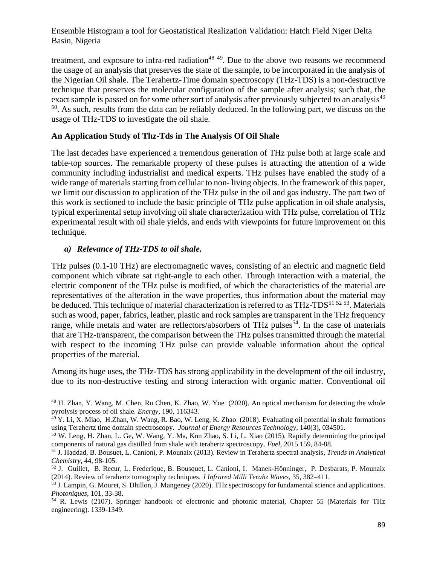treatment, and exposure to infra-red radiation<sup>48 49</sup>. Due to the above two reasons we recommend the usage of an analysis that preserves the state of the sample, to be incorporated in the analysis of the Nigerian Oil shale. The Terahertz-Time domain spectroscopy (THz-TDS) is a non-destructive technique that preserves the molecular configuration of the sample after analysis; such that, the exact sample is passed on for some other sort of analysis after previously subjected to an analysis<sup>49</sup> <sup>50</sup>. As such, results from the data can be reliably deduced. In the following part, we discuss on the usage of THz-TDS to investigate the oil shale.

# **An Application Study of Thz-Tds in The Analysis Of Oil Shale**

The last decades have experienced a tremendous generation of THz pulse both at large scale and table-top sources. The remarkable property of these pulses is attracting the attention of a wide community including industrialist and medical experts. THz pulses have enabled the study of a wide range of materials starting from cellular to non- living objects. In the framework of this paper, we limit our discussion to application of the THz pulse in the oil and gas industry. The part two of this work is sectioned to include the basic principle of THz pulse application in oil shale analysis, typical experimental setup involving oil shale characterization with THz pulse, correlation of THz experimental result with oil shale yields, and ends with viewpoints for future improvement on this technique.

# *a) Relevance of THz-TDS to oil shale.*

THz pulses (0.1-10 THz) are electromagnetic waves, consisting of an electric and magnetic field component which vibrate sat right-angle to each other. Through interaction with a material, the electric component of the THz pulse is modified, of which the characteristics of the material are representatives of the alteration in the wave properties, thus information about the material may be deduced. This technique of material characterization is referred to as THz-TDS<sup>51 52 53</sup>. Materials such as wood, paper, fabrics, leather, plastic and rock samples are transparent in the THz frequency range, while metals and water are reflectors/absorbers of THz pulses<sup>54</sup>. In the case of materials that are THz-transparent, the comparison between the THz pulses transmitted through the material with respect to the incoming THz pulse can provide valuable information about the optical properties of the material.

Among its huge uses, the THz-TDS has strong applicability in the development of the oil industry, due to its non-destructive testing and strong interaction with organic matter. Conventional oil

<sup>&</sup>lt;sup>48</sup> H. Zhan, Y. Wang, M. Chen, Ru Chen, K. Zhao, W. Yue (2020). An optical mechanism for detecting the whole pyrolysis process of oil shale*. Energy*, 190, 116343.

<sup>49</sup> Y. Li, X. Miao, H.Zhan, W. Wang, R. Bao, W. Leng, K. Zhao (2018). Evaluating oil potential in shale formations using Terahertz time domain spectroscopy. *Journal of Energy Resources Technology*, 140(3), 034501.

<sup>50</sup> W. Leng, H. Zhan, L. Ge, W. Wang, Y. Ma, Kun Zhao, S. Li, L. Xiao (2015). Rapidly determining the principal components of natural gas distilled from shale with terahertz spectroscopy. *Fuel,* 2015 159, 84-88.

<sup>51</sup> J. Haddad, B. Bousuet, L. Canioni, P. Mounaix (2013). Review in Terahertz spectral analysis, *Trends in Analytical Chemistry*, 44, 98-105.

<sup>52</sup> J. Guillet, B. Recur, L. Frederique, B. Bousquet, L. Canioni, I. Manek-Hönninger, P. Desbarats, P. Mounaix (2014). Review of terahertz tomography techniques. *J Infrared Milli Terahz Waves*, 35, 382–411.

<sup>53</sup> J. Lampin, G. Mouret, S. Dhillon, J. Mangeney (2020). THz spectroscopy for fundamental science and applications. *Photoniques*, 101, 33-38.

<sup>54</sup> R. Lewis (2107). Springer handbook of electronic and photonic material, Chapter 55 (Materials for THz engineering). 1339-1349.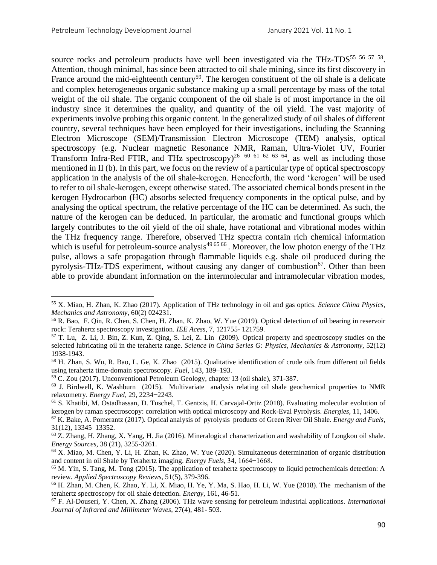source rocks and petroleum products have well been investigated via the THz-TDS<sup>55 56 57 58</sup>. Attention, though minimal, has since been attracted to oil shale mining, since its first discovery in France around the mid-eighteenth century<sup>59</sup>. The kerogen constituent of the oil shale is a delicate and complex heterogeneous organic substance making up a small percentage by mass of the total weight of the oil shale. The organic component of the oil shale is of most importance in the oil industry since it determines the quality, and quantity of the oil yield. The vast majority of experiments involve probing this organic content. In the generalized study of oil shales of different country, several techniques have been employed for their investigations, including the Scanning Electron Microscope (SEM)/Transmission Electron Microscope (TEM) analysis, optical spectroscopy (e.g. Nuclear magnetic Resonance NMR, Raman, Ultra-Violet UV, Fourier Transform Infra-Red FTIR, and THz spectroscopy)<sup>26 60 61 62 63 64</sup>, as well as including those mentioned in II (b). In this part, we focus on the review of a particular type of optical spectroscopy application in the analysis of the oil shale-kerogen. Henceforth, the word 'kerogen' will be used to refer to oil shale-kerogen, except otherwise stated. The associated chemical bonds present in the kerogen Hydrocarbon (HC) absorbs selected frequency components in the optical pulse, and by analysing the optical spectrum, the relative percentage of the HC can be determined. As such, the nature of the kerogen can be deduced. In particular, the aromatic and functional groups which largely contributes to the oil yield of the oil shale, have rotational and vibrational modes within the THz frequency range. Therefore, observed THz spectra contain rich chemical information which is useful for petroleum-source analysis<sup>49 65 66</sup>. Moreover, the low photon energy of the THz pulse, allows a safe propagation through flammable liquids e.g. shale oil produced during the pyrolysis-THz-TDS experiment, without causing any danger of combustion<sup>67</sup>. Other than been able to provide abundant information on the intermolecular and intramolecular vibration modes,

<sup>55</sup> X. Miao, H. Zhan, K. Zhao (2017). Application of THz technology in oil and gas optics. *Science China Physics, Mechanics and Astronomy*, 60(2) 024231.

<sup>56</sup> R. Bao, F. Qin, R. Chen, S. Chen, H. Zhan, K. Zhao, W. Yue (2019). Optical detection of oil bearing in reservoir rock: Terahertz spectroscopy investigation. *IEE Acess*, 7, 121755- 121759.

<sup>57</sup> T. Lu, Z. Li, J. Bin, Z. Kun, Z. Qing, S. Lei, Z. Lin (2009). Optical property and spectroscopy studies on the selected lubricating oil in the terahertz range. *Science in China Series G: Physics, Mechanics & Astronomy*, 52(12) 1938-1943.

<sup>58</sup> H. Zhan, S. Wu, R. Bao, L. Ge, K. Zhao (2015). Qualitative identification of crude oils from different oil fields using terahertz time-domain spectroscopy. *Fuel*, 143, 189–193.

<sup>59</sup> C. [Zou](https://www.sciencedirect.com/science/article/pii/B9780128122341000133#!) (2017). Unconventional Petroleum Geology, chapter 13 (oil shale), 371-387.

 $60$  J. Birdwell, K. Washburn (2015). Multivariate analysis relating oil shale geochemical properties to NMR relaxometry. *Energy Fuel*, 29, 2234−2243.

<sup>61</sup> S. Khatibi, M. Ostadhassan, D. Tuschel, T. Gentzis, H. Carvajal-Ortiz (2018). Evaluating molecular evolution of kerogen by raman spectroscopy: correlation with optical microscopy and Rock-Eval Pyrolysis. *Energies*, 11, 1406.

<sup>62</sup> K. Bake, A. Pomerantz (2017). Optical analysis of pyrolysis products of Green River Oil Shale. *Energy and Fuels*, 31(12), 13345–13352.

<sup>63</sup> Z. Zhang, H. Zhang, X. Yang, H. Jia (2016). Mineralogical characterization and washability of Longkou oil shale. *Energy Sources*, 38 (21), 3255-3261.

<sup>64</sup> X. Miao, M. Chen, Y. Li, H. Zhan, K. Zhao, W. Yue (2020). Simultaneous determination of organic distribution and content in oil Shale by Terahertz imaging. *Energy Fuels*, 34, 1664−1668.

<sup>&</sup>lt;sup>65</sup> M. Yin, S. Tang, M. Tong (2015). The application of terahertz spectroscopy to liquid petrochemicals detection: A review. *Applied Spectroscopy Reviews*, 51(5), 379-396.

<sup>66</sup> H. Zhan, M. Chen, K. Zhao, Y. Li, X. Miao, H. Ye, Y. Ma, S. Hao, H. Li, W. Yue (2018). The mechanism of the terahertz spectroscopy for oil shale detection. *Energy*, 161, 46-51.

<sup>67</sup> F. Al-Douseri, Y. Chen, X. Zhang (2006). THz wave sensing for petroleum industrial applications. *International Journal of Infrared and Millimeter Waves*, 27(4), 481- 503.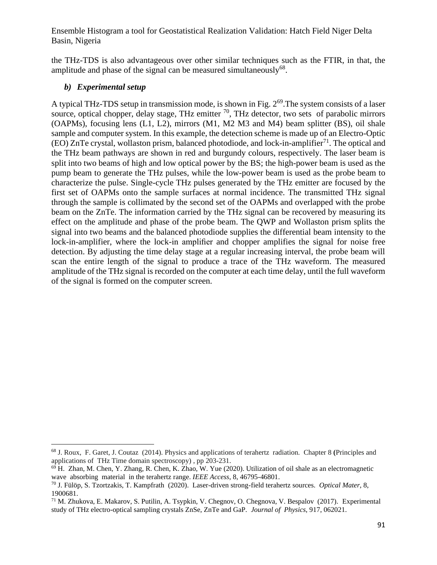the THz-TDS is also advantageous over other similar techniques such as the FTIR, in that, the amplitude and phase of the signal can be measured simultaneously $^{68}$ .

# *b) Experimental setup*

A typical THz-TDS setup in transmission mode, is shown in Fig. 2<sup>69</sup>. The system consists of a laser source, optical chopper, delay stage, THz emitter  $^{70}$ , THz detector, two sets of parabolic mirrors (OAPMs), focusing lens (L1, L2), mirrors (M1, M2 M3 and M4) beam splitter (BS), oil shale sample and computer system. In this example, the detection scheme is made up of an Electro-Optic (EO) ZnTe crystal, wollaston prism, balanced photodiode, and lock-in-amplifier<sup>71</sup>. The optical and the THz beam pathways are shown in red and burgundy colours, respectively. The laser beam is split into two beams of high and low optical power by the BS; the high-power beam is used as the pump beam to generate the THz pulses, while the low-power beam is used as the probe beam to characterize the pulse. Single-cycle THz pulses generated by the THz emitter are focused by the first set of OAPMs onto the sample surfaces at normal incidence. The transmitted THz signal through the sample is collimated by the second set of the OAPMs and overlapped with the probe beam on the ZnTe. The information carried by the THz signal can be recovered by measuring its effect on the amplitude and phase of the probe beam. The QWP and Wollaston prism splits the signal into two beams and the balanced photodiode supplies the differential beam intensity to the lock-in-amplifier, where the lock-in amplifier and chopper amplifies the signal for noise free detection. By adjusting the time delay stage at a regular increasing interval, the probe beam will scan the entire length of the signal to produce a trace of the THz waveform. The measured amplitude of the THz signal is recorded on the computer at each time delay, until the full waveform of the signal is formed on the computer screen.

<sup>68</sup> J. Roux, F. Garet, J. Coutaz (2014). Physics and applications of terahertz radiation. Chapter 8 **(**Principles and applications of THz Time domain spectroscopy) , pp 203-231.

 $69$  H. Zhan, M. Chen, Y. Zhang, R. Chen, K. Zhao, W. Yue (2020). Utilization of oil shale as an electromagnetic wave absorbing material in the terahertz range. *IEEE Access*, 8, 46795-46801.

<sup>70</sup> J. Fülöp, S. Tzortzakis, T. Kampfrath (2020). Laser-driven strong-field terahertz sources. *Optical Mater*, 8, 1900681.

<sup>71</sup> M. Zhukova, E. Makarov, S. Putilin, A. Tsypkin, V. Chegnov, O. Chegnova, V. Bespalov (2017). Experimental study of THz electro-optical sampling crystals ZnSe, ZnTe and GaP. *Journal of Physics*, 917, 062021.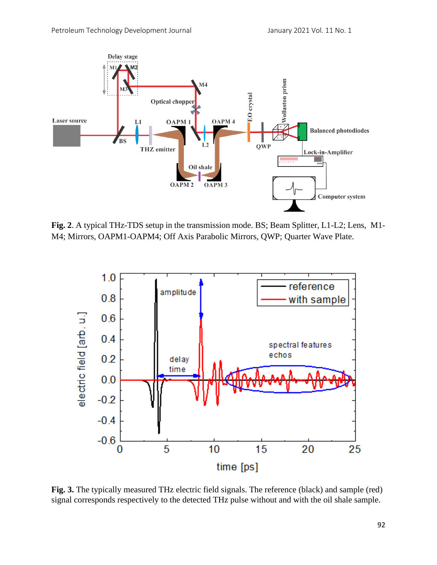

**Fig. 2**. A typical THz-TDS setup in the transmission mode. BS; Beam Splitter, L1-L2; Lens, M1- M4; Mirrors, OAPM1-OAPM4; Off Axis Parabolic Mirrors, QWP; Quarter Wave Plate.



**Fig. 3.** The typically measured THz electric field signals. The reference (black) and sample (red) signal corresponds respectively to the detected THz pulse without and with the oil shale sample.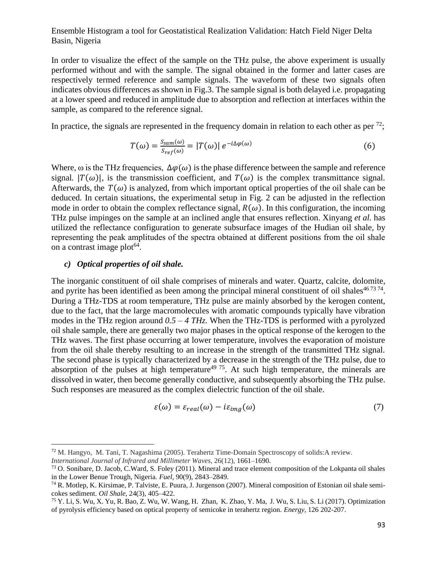In order to visualize the effect of the sample on the THz pulse, the above experiment is usually performed without and with the sample. The signal obtained in the former and latter cases are respectively termed reference and sample signals. The waveform of these two signals often indicates obvious differences as shown in Fig.3. The sample signal is both delayed i.e. propagating at a lower speed and reduced in amplitude due to absorption and reflection at interfaces within the sample, as compared to the reference signal.

In practice, the signals are represented in the frequency domain in relation to each other as per  $^{72}$ ;

$$
T(\omega) = \frac{S_{sam}(\omega)}{S_{ref}(\omega)} = |T(\omega)| e^{-i\Delta\varphi(\omega)}
$$
(6)

Where,  $\omega$  is the THz frequencies,  $\Delta\varphi(\omega)$  is the phase difference between the sample and reference signal.  $|T(\omega)|$ , is the transmission coefficient, and  $T(\omega)$  is the complex transmittance signal. Afterwards, the  $T(\omega)$  is analyzed, from which important optical properties of the oil shale can be deduced. In certain situations, the experimental setup in Fig. 2 can be adjusted in the reflection mode in order to obtain the complex reflectance signal,  $R(\omega)$ . In this configuration, the incoming THz pulse impinges on the sample at an inclined angle that ensures reflection. Xinyang *et al.* has utilized the reflectance configuration to generate subsurface images of the Hudian oil shale, by representing the peak amplitudes of the spectra obtained at different positions from the oil shale on a contrast image plot<sup>64</sup>.

#### *c) Optical properties of oil shale.*

The inorganic constituent of oil shale comprises of minerals and water. Quartz, calcite, dolomite, and pyrite has been identified as been among the principal mineral constituent of oil shales $467374$ . During a THz-TDS at room temperature, THz pulse are mainly absorbed by the kerogen content, due to the fact, that the large macromolecules with aromatic compounds typically have vibration modes in the THz region around *0.5 – 4 THz.* When the THz-TDS is performed with a pyrolyzed oil shale sample, there are generally two major phases in the optical response of the kerogen to the THz waves. The first phase occurring at lower temperature, involves the evaporation of moisture from the oil shale thereby resulting to an increase in the strength of the transmitted THz signal. The second phase is typically characterized by a decrease in the strength of the THz pulse, due to absorption of the pulses at high temperature<sup>49 75</sup>. At such high temperature, the minerals are dissolved in water, then become generally conductive, and subsequently absorbing the THz pulse. Such responses are measured as the complex dielectric function of the oil shale.

$$
\varepsilon(\omega) = \varepsilon_{real}(\omega) - i\varepsilon_{img}(\omega) \tag{7}
$$

<sup>72</sup> M. Hangyo, M. Tani, T. Nagashima (2005). Terahertz Time-Domain Spectroscopy of solids:A review. *International Journal of Infrared and Millimeter Waves*, 26(12), 1661–1690.

<sup>73</sup> O. Sonibare, D. Jacob, C.Ward, S. Foley (2011). Mineral and trace element composition of the Lokpanta oil shales in the Lower Benue Trough, Nigeria*. Fuel*, 90(9), 2843–2849.

<sup>74</sup> R. Motlep, K. Kirsimae, P. Talviste, E. Puura, J. Jurgenson (2007). Mineral composition of Estonian oil shale semicokes sediment. *Oil Shale*, 24(3), 405–422.

<sup>75</sup> Y. Li, S. Wu, X. Yu, R. Bao, Z. Wu, W. Wang, H. Zhan, K. Zhao, Y. Ma, J. Wu, S. Liu, S. Li (2017). Optimization of pyrolysis efficiency based on optical property of semicoke in terahertz region. *Energy,* 126 202-207.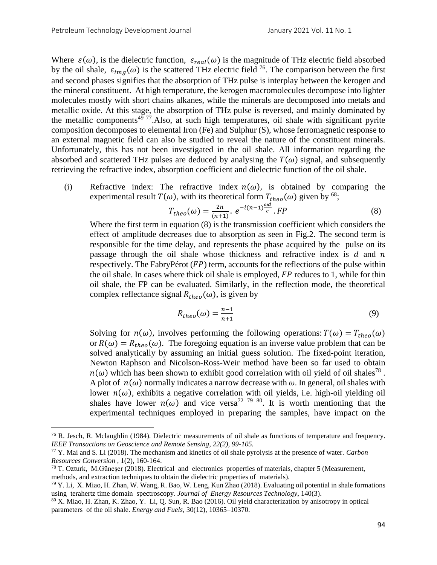Where  $\varepsilon(\omega)$ , is the dielectric function,  $\varepsilon_{real}(\omega)$  is the magnitude of THz electric field absorbed by the oil shale,  $\varepsilon_{img}(\omega)$  is the scattered THz electric field <sup>76</sup>. The comparison between the first and second phases signifies that the absorption of THz pulse is interplay between the kerogen and the mineral constituent. At high temperature, the kerogen macromolecules decompose into lighter molecules mostly with short chains alkanes, while the minerals are decomposed into metals and metallic oxide. At this stage, the absorption of THz pulse is reversed, and mainly dominated by the metallic components<sup>49 77</sup>. Also, at such high temperatures, oil shale with significant pyrite composition decomposes to elemental Iron (Fe) and Sulphur (S), whose ferromagnetic response to an external magnetic field can also be studied to reveal the nature of the constituent minerals. Unfortunately, this has not been investigated in the oil shale. All information regarding the absorbed and scattered THz pulses are deduced by analysing the  $T(\omega)$  signal, and subsequently retrieving the refractive index, absorption coefficient and dielectric function of the oil shale.

(i) Refractive index: The refractive index  $n(\omega)$ , is obtained by comparing the experimental result  $T(\omega)$ , with its theoretical form  $T_{theo}(\omega)$  given by <sup>68</sup>;

$$
T_{theo}(\omega) = \frac{2n}{(n+1)} \cdot e^{-i(n-1)\frac{\omega d}{c}} \cdot FP
$$
 (8)

Where the first term in equation (8) is the transmission coefficient which considers the effect of amplitude decreases due to absorption as seen in Fig.2. The second term is responsible for the time delay, and represents the phase acquired by the pulse on its passage through the oil shale whose thickness and refractive index is  $d$  and  $n$ respectively. The FabryPérot  $(FP)$  term, accounts for the reflections of the pulse within the oil shale. In cases where thick oil shale is employed,  $FP$  reduces to 1, while for thin oil shale, the FP can be evaluated. Similarly, in the reflection mode, the theoretical complex reflectance signal  $R_{theo}(\omega)$ , is given by

$$
R_{theo}(\omega) = \frac{n-1}{n+1} \tag{9}
$$

Solving for  $n(\omega)$ , involves performing the following operations:  $T(\omega) = T_{theo}(\omega)$ or  $R(\omega) = R_{theo}(\omega)$ . The foregoing equation is an inverse value problem that can be solved analytically by assuming an initial guess solution. The fixed-point iteration, Newton Raphson and Nicolson-Ross-Weir method have been so far used to obtain  $n(\omega)$  which has been shown to exhibit good correlation with oil yield of oil shales<sup>78</sup>. A plot of  $n(\omega)$  normally indicates a narrow decrease with  $\omega$ . In general, oil shales with lower  $n(\omega)$ , exhibits a negative correlation with oil yields, i.e. high-oil yielding oil shales have lower  $n(\omega)$  and vice versa<sup>72 79</sup> <sup>80</sup>. It is worth mentioning that the experimental techniques employed in preparing the samples, have impact on the

 $76$  R. Jesch, R. Mclaughlin (1984). Dielectric measurements of oil shale as functions of temperature and frequency. *IEEE Transactions on Geoscience and Remote Sensing, 22(2), 99-105.*

<sup>77</sup> Y. Mai and S. Li (2018). The mechanism and kinetics of oil shale pyrolysis at the presence of water. *Carbon Resources Conversion* , 1(2), 160-164.

<sup>78</sup> T. Ozturk, M.Güneşer (2018). Electrical and electronics properties of materials, chapter 5 (Measurement, methods, and extraction techniques to obtain the dielectric properties of materials).

 $79$  Y. Li, X. Miao, H. Zhan, W. Wang, R. Bao, W. Leng, Kun Zhao (2018). Evaluating oil potential in shale formations using terahertz time domain spectroscopy. *Journal of Energy Resources Technology*, 140(3).

<sup>80</sup> X. Miao, H. Zhan, K. Zhao, Y. Li, Q. Sun, R. Bao (2016). Oil yield characterization by anisotropy in optical parameters of the oil shale. *Energy and Fuels*, 30(12), 10365–10370.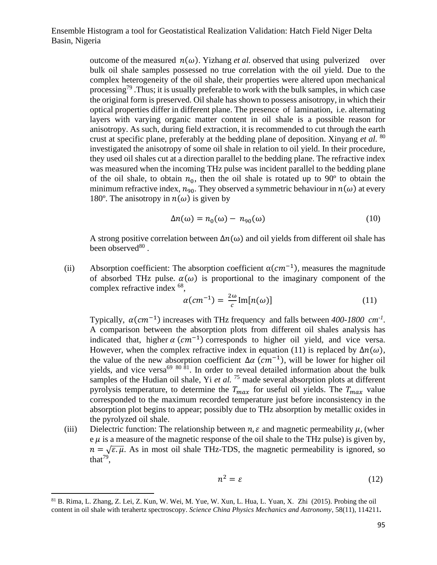> outcome of the measured  $n(\omega)$ . Yizhang *et al.* observed that using pulverized over bulk oil shale samples possessed no true correlation with the oil yield. Due to the complex heterogeneity of the oil shale, their properties were altered upon mechanical processing<sup>79</sup>. Thus; it is usually preferable to work with the bulk samples, in which case the original form is preserved. Oil shale has shown to possess anisotropy, in which their optical properties differ in different plane. The presence of lamination, i.e. alternating layers with varying organic matter content in oil shale is a possible reason for anisotropy. As such, during field extraction, it is recommended to cut through the earth crust at specific plane, preferably at the bedding plane of deposition. Xinyang *et al.* 80 investigated the anisotropy of some oil shale in relation to oil yield. In their procedure, they used oil shales cut at a direction parallel to the bedding plane. The refractive index was measured when the incoming THz pulse was incident parallel to the bedding plane of the oil shale, to obtain  $n_0$ , then the oil shale is rotated up to 90° to obtain the minimum refractive index,  $n_{90}$ . They observed a symmetric behaviour in  $n(\omega)$  at every 180°. The anisotropy in  $n(\omega)$  is given by

$$
\Delta n(\omega) = n_0(\omega) - n_{90}(\omega) \tag{10}
$$

A strong positive correlation between  $\Delta n(\omega)$  and oil yields from different oil shale has been observed<sup>80</sup>.

(ii) Absorption coefficient: The absorption coefficient  $\alpha$ ( $cm^{-1}$ ), measures the magnitude of absorbed THz pulse.  $\alpha(\omega)$  is proportional to the imaginary component of the complex refractive index <sup>68</sup>,

$$
\alpha(cm^{-1}) = \frac{2\omega}{c} \text{Im}[n(\omega)] \tag{11}
$$

Typically,  $\alpha$ ( $cm^{-1}$ ) increases with THz frequency and falls between 400-1800  $cm^{-1}$ . A comparison between the absorption plots from different oil shales analysis has indicated that, higher  $\alpha$  ( $cm^{-1}$ ) corresponds to higher oil yield, and vice versa. However, when the complex refractive index in equation (11) is replaced by  $\Delta n(\omega)$ , the value of the new absorption coefficient  $\Delta \alpha$  ( $cm^{-1}$ ), will be lower for higher oil yields, and vice versa<sup>69 80 81</sup>. In order to reveal detailed information about the bulk samples of the Hudian oil shale, Yi *et al.* <sup>75</sup> made several absorption plots at different pyrolysis temperature, to determine the  $T_{max}$  for useful oil yields. The  $T_{max}$  value corresponded to the maximum recorded temperature just before inconsistency in the absorption plot begins to appear; possibly due to THz absorption by metallic oxides in the pyrolyzed oil shale.

(iii) Dielectric function: The relationship between  $n, \varepsilon$  and magnetic permeability  $\mu$ , (wher  $e \mu$  is a measure of the magnetic response of the oil shale to the THz pulse) is given by,  $n = \sqrt{\varepsilon u}$ . As in most oil shale THz-TDS, the magnetic permeability is ignored, so that<sup>79</sup>,

$$
n^2 = \varepsilon \tag{12}
$$

<sup>81</sup> B. Rima, L. Zhang, Z. Lei, Z. Kun, W. Wei, M. Yue, W. Xun, L. Hua, L. Yuan, X. Zhi (2015). Probing the oil content in oil shale with terahertz spectroscopy. *Science China Physics Mechanics and Astronomy*, 58(11), 114211**.**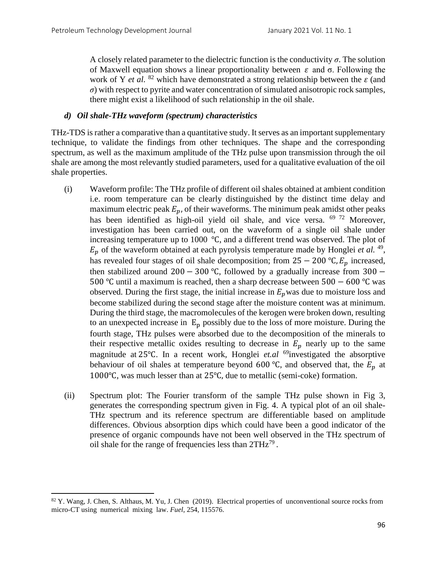A closely related parameter to the dielectric function is the conductivity  $\sigma$ . The solution of Maxwell equation shows a linear proportionality between  $\varepsilon$  and  $\sigma$ . Following the work of Y *et al.*  $82$  which have demonstrated a strong relationship between the  $\varepsilon$  (and *σ*) with respect to pyrite and water concentration of simulated anisotropic rock samples, there might exist a likelihood of such relationship in the oil shale.

## *d) Oil shale-THz waveform (spectrum) characteristics*

THz-TDS is rather a comparative than a quantitative study. It serves as an important supplementary technique, to validate the findings from other techniques. The shape and the corresponding spectrum, as well as the maximum amplitude of the THz pulse upon transmission through the oil shale are among the most relevantly studied parameters, used for a qualitative evaluation of the oil shale properties.

- (i) Waveform profile: The THz profile of different oil shales obtained at ambient condition i.e. room temperature can be clearly distinguished by the distinct time delay and maximum electric peak  $E_p$ , of their waveforms. The minimum peak amidst other peaks has been identified as high-oil yield oil shale, and vice versa. <sup>69 72</sup> Moreover, investigation has been carried out, on the waveform of a single oil shale under increasing temperature up to 1000 ℃, and a different trend was observed. The plot of  $E_p$  of the waveform obtained at each pyrolysis temperature made by Honglei *et al.*<sup>49</sup>, has revealed four stages of oil shale decomposition; from  $25 - 200$  °C,  $E_p$  increased, then stabilized around 200 − 300 °C, followed by a gradually increase from 300 − 500 ℃ until a maximum is reached, then a sharp decrease between 500 − 600 ℃ was observed. During the first stage, the initial increase in  $E_p$  was due to moisture loss and become stabilized during the second stage after the moisture content was at minimum. During the third stage, the macromolecules of the kerogen were broken down, resulting to an unexpected increase in  $E_p$  possibly due to the loss of more moisture. During the fourth stage, THz pulses were absorbed due to the decomposition of the minerals to their respective metallic oxides resulting to decrease in  $E_p$  nearly up to the same magnitude at 25℃. In a recent work, Honglei *et.al* <sup>69</sup>investigated the absorptive behaviour of oil shales at temperature beyond 600 °C, and observed that, the  $E_p$  at 1000℃, was much lesser than at 25℃, due to metallic (semi-coke) formation.
- (ii) Spectrum plot: The Fourier transform of the sample THz pulse shown in Fig 3, generates the corresponding spectrum given in Fig. 4. A typical plot of an oil shale-THz spectrum and its reference spectrum are differentiable based on amplitude differences. Obvious absorption dips which could have been a good indicator of the presence of organic compounds have not been well observed in the THz spectrum of oil shale for the range of frequencies less than  $2THz^{79}$ .

<sup>&</sup>lt;sup>82</sup> Y. Wang, J. Chen, S. Althaus, M. Yu, J. Chen (2019). Electrical properties of unconventional source rocks from micro-CT using numerical mixing law. *Fuel*, 254, 115576.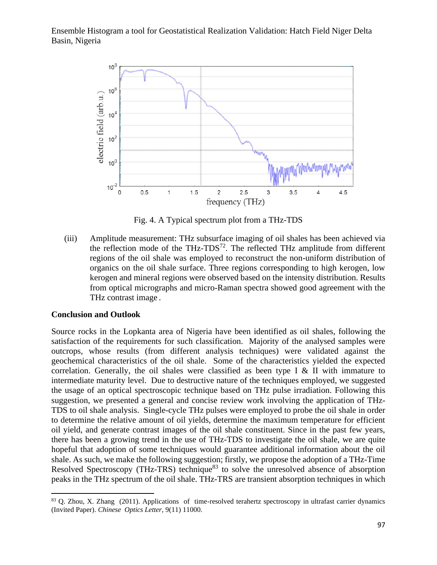

Fig. 4. A Typical spectrum plot from a THz-TDS

(iii) Amplitude measurement: THz subsurface imaging of oil shales has been achieved via the reflection mode of the THz-TDS<sup>72</sup>. The reflected THz amplitude from different regions of the oil shale was employed to reconstruct the non-uniform distribution of organics on the oil shale surface. Three regions corresponding to high kerogen, low kerogen and mineral regions were observed based on the intensity distribution. Results from optical micrographs and micro-Raman spectra showed good agreement with the THz contrast image .

#### **Conclusion and Outlook**

Source rocks in the Lopkanta area of Nigeria have been identified as oil shales, following the satisfaction of the requirements for such classification. Majority of the analysed samples were outcrops, whose results (from different analysis techniques) were validated against the geochemical characteristics of the oil shale. Some of the characteristics yielded the expected correlation. Generally, the oil shales were classified as been type I & II with immature to intermediate maturity level. Due to destructive nature of the techniques employed, we suggested the usage of an optical spectroscopic technique based on THz pulse irradiation. Following this suggestion, we presented a general and concise review work involving the application of THz-TDS to oil shale analysis. Single-cycle THz pulses were employed to probe the oil shale in order to determine the relative amount of oil yields, determine the maximum temperature for efficient oil yield, and generate contrast images of the oil shale constituent. Since in the past few years, there has been a growing trend in the use of THz-TDS to investigate the oil shale, we are quite hopeful that adoption of some techniques would guarantee additional information about the oil shale. As such, we make the following suggestion; firstly, we propose the adoption of a THz-Time Resolved Spectroscopy (THz-TRS) technique<sup>83</sup> to solve the unresolved absence of absorption peaks in the THz spectrum of the oil shale. THz-TRS are transient absorption techniques in which

<sup>&</sup>lt;sup>83</sup> Q. Zhou, X. Zhang (2011). Applications of time-resolved terahertz spectroscopy in ultrafast carrier dynamics (Invited Paper). *Chinese Optics Letter*, 9(11) 11000.